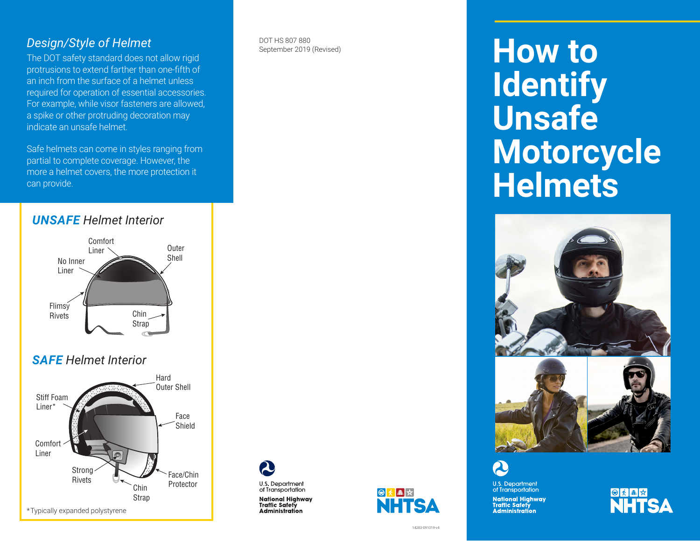#### *Design/Style of Helmet*

The DOT safety standard does not allow rigid protrusions to extend farther than one-fifth of an inch from the surface of a helmet unless required for operation of essential accessories. For example, while visor fasteners are allowed, a spike or other protruding decoration may indicate an unsafe helmet.

Safe helmets can come in styles ranging from partial to complete coverage. However, the more a helmet covers, the more protection it can provide.



#### *SAFE Helmet Interior*



DOT HS 807 880 September 2019 (Revised)



National Highway<br>Traffic Safety

**Administration** 



14283-091019-v4

# **How to Identify Unsafe Motorcycle Helmets**



**U.S. Department**<br>of Transportation National Highway<br>Traffic Safety<br>Administration

**SKAR**<br>NHTSA